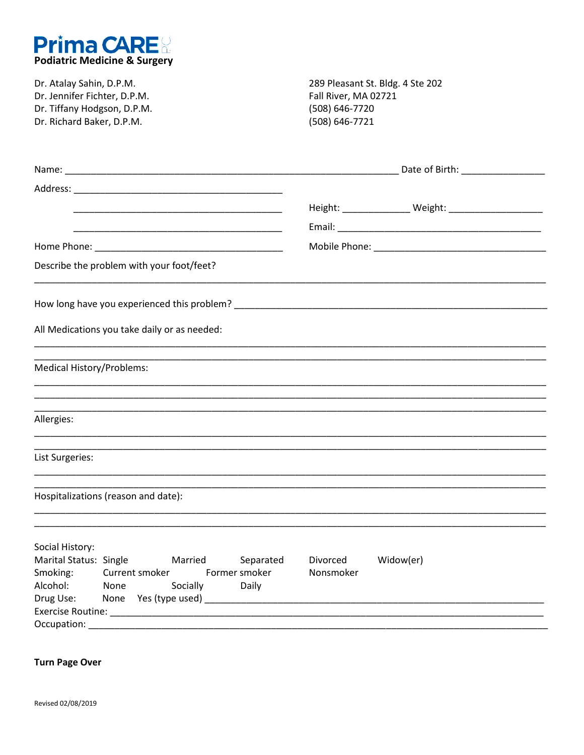

| Dr. Atalay Sahin, D.P.M.<br>Dr. Jennifer Fichter, D.P.M.                                                                                                                                                                                                                                                                                                                                                                                                       | 289 Pleasant St. Bldg. 4 Ste 202<br>Fall River, MA 02721<br>(508) 646-7720<br>(508) 646-7721 |  |  |
|----------------------------------------------------------------------------------------------------------------------------------------------------------------------------------------------------------------------------------------------------------------------------------------------------------------------------------------------------------------------------------------------------------------------------------------------------------------|----------------------------------------------------------------------------------------------|--|--|
| Dr. Tiffany Hodgson, D.P.M.<br>Dr. Richard Baker, D.P.M.                                                                                                                                                                                                                                                                                                                                                                                                       |                                                                                              |  |  |
|                                                                                                                                                                                                                                                                                                                                                                                                                                                                |                                                                                              |  |  |
|                                                                                                                                                                                                                                                                                                                                                                                                                                                                |                                                                                              |  |  |
| <u> 1989 - Johann Harry Harry Harry Harry Harry Harry Harry Harry Harry Harry Harry Harry Harry Harry Harry Harry</u>                                                                                                                                                                                                                                                                                                                                          |                                                                                              |  |  |
|                                                                                                                                                                                                                                                                                                                                                                                                                                                                |                                                                                              |  |  |
|                                                                                                                                                                                                                                                                                                                                                                                                                                                                |                                                                                              |  |  |
| Describe the problem with your foot/feet?                                                                                                                                                                                                                                                                                                                                                                                                                      |                                                                                              |  |  |
|                                                                                                                                                                                                                                                                                                                                                                                                                                                                |                                                                                              |  |  |
| All Medications you take daily or as needed:                                                                                                                                                                                                                                                                                                                                                                                                                   |                                                                                              |  |  |
| <b>Medical History/Problems:</b><br><u> 1989 - Johann Harry Barn, mars ar breithinn ar breithinn an dùthchan ann an 1980. Bhaile ann an 1980 an 1980 </u>                                                                                                                                                                                                                                                                                                      |                                                                                              |  |  |
| ,我们也不能在这里的时候,我们也不能在这里的时候,我们也不能在这里的时候,我们也不能会在这里的时候,我们也不能会在这里的时候,我们也不能会在这里的时候,我们也不                                                                                                                                                                                                                                                                                                                                                                               |                                                                                              |  |  |
| Allergies:<br><u> 1989 - Johann Stoff, deutscher Stoff, der Stoff, der Stoff, der Stoff, der Stoff, der Stoff, der Stoff, der S</u>                                                                                                                                                                                                                                                                                                                            |                                                                                              |  |  |
| List Surgeries:                                                                                                                                                                                                                                                                                                                                                                                                                                                |                                                                                              |  |  |
| Hospitalizations (reason and date):                                                                                                                                                                                                                                                                                                                                                                                                                            |                                                                                              |  |  |
|                                                                                                                                                                                                                                                                                                                                                                                                                                                                |                                                                                              |  |  |
| Social History:<br>Marital Status: Single<br>Married<br>Separated<br>Smoking:<br>Former smoker<br>Current smoker<br>Alcohol:<br>Socially<br>None<br>Daily<br>Drug Use:                                                                                                                                                                                                                                                                                         | Divorced<br>Widow(er)<br>Nonsmoker                                                           |  |  |
| Exercise Routine: Network and the service of the service of the service of the service of the service of the service of the service of the service of the service of the service of the service of the service of the service<br>Occupation: National Accounts of the Contract of the Contract of the Contract of the Contract of the Contract of the Contract of the Contract of the Contract of the Contract of the Contract of the Contract of the Contract |                                                                                              |  |  |

**Turn Page Over**